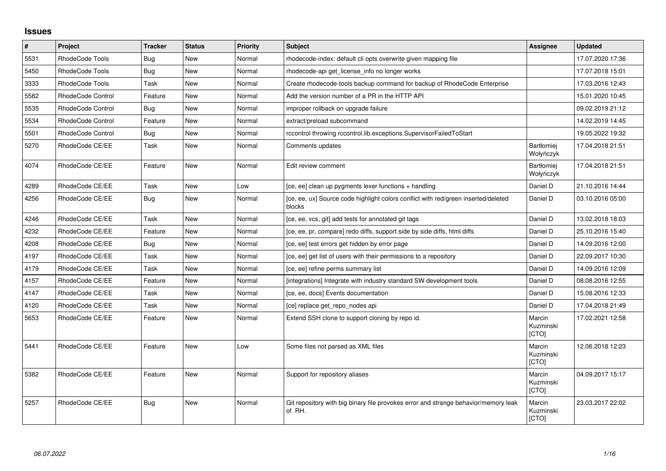## **Issues**

| #    | Project           | <b>Tracker</b> | <b>Status</b> | <b>Priority</b> | Subject                                                                                       | Assignee                       | Updated          |
|------|-------------------|----------------|---------------|-----------------|-----------------------------------------------------------------------------------------------|--------------------------------|------------------|
| 5531 | RhodeCode Tools   | Bug            | <b>New</b>    | Normal          | rhodecode-index: default cli opts overwrite given mapping file                                |                                | 17.07.2020 17:36 |
| 5450 | RhodeCode Tools   | Bug            | New           | Normal          | rhodecode-api get license info no longer works                                                |                                | 17.07.2018 15:01 |
| 3333 | RhodeCode Tools   | Task           | New           | Normal          | Create rhodecode-tools backup command for backup of RhodeCode Enterprise                      |                                | 17.03.2016 12:43 |
| 5582 | RhodeCode Control | Feature        | New           | Normal          | Add the version number of a PR in the HTTP API                                                |                                | 15.01.2020 10:45 |
| 5535 | RhodeCode Control | Bug            | <b>New</b>    | Normal          | improper rollback on upgrade failure                                                          |                                | 09.02.2019 21:12 |
| 5534 | RhodeCode Control | Feature        | New           | Normal          | extract/preload subcommand                                                                    |                                | 14.02.2019 14:45 |
| 5501 | RhodeCode Control | Bug            | New           | Normal          | rccontrol throwing rccontrol.lib.exceptions.SupervisorFailedToStart                           |                                | 19.05.2022 19:32 |
| 5270 | RhodeCode CE/EE   | Task           | <b>New</b>    | Normal          | Comments updates                                                                              | <b>Bartłomiej</b><br>Wołyńczyk | 17.04.2018 21:51 |
| 4074 | RhodeCode CE/EE   | Feature        | <b>New</b>    | Normal          | Edit review comment                                                                           | Bartłomiej<br>Wołyńczyk        | 17.04.2018 21:51 |
| 4289 | RhodeCode CE/EE   | Task           | <b>New</b>    | Low             | [ce, ee] clean up pygments lexer functions + handling                                         | Daniel D                       | 21.10.2016 14:44 |
| 4256 | RhodeCode CE/EE   | Bug            | <b>New</b>    | Normal          | [ce, ee, ux] Source code highlight colors conflict with red/green inserted/deleted<br>blocks  | Daniel D                       | 03.10.2016 05:00 |
| 4246 | RhodeCode CE/EE   | Task           | <b>New</b>    | Normal          | [ce, ee, vcs, git] add tests for annotated git tags                                           | Daniel D                       | 13.02.2018 18:03 |
| 4232 | RhodeCode CE/EE   | Feature        | New           | Normal          | [ce, ee, pr, compare] redo diffs, support side by side diffs, html diffs                      | Daniel D                       | 25.10.2016 15:40 |
| 4208 | RhodeCode CE/EE   | Bug            | New           | Normal          | [ce, ee] test errors get hidden by error page                                                 | Daniel D                       | 14.09.2016 12:00 |
| 4197 | RhodeCode CE/EE   | Task           | New           | Normal          | [ce, ee] get list of users with their permissions to a repository                             | Daniel D                       | 22.09.2017 10:30 |
| 4179 | RhodeCode CE/EE   | Task           | <b>New</b>    | Normal          | [ce, ee] refine perms summary list                                                            | Daniel D                       | 14.09.2016 12:09 |
| 4157 | RhodeCode CE/EE   | Feature        | New           | Normal          | [integrations] Integrate with industry standard SW development tools                          | Daniel D                       | 08.08.2016 12:55 |
| 4147 | RhodeCode CE/EE   | Task           | New           | Normal          | [ce, ee, docs] Events documentation                                                           | Daniel D                       | 15.08.2016 12:33 |
| 4120 | RhodeCode CE/EE   | Task           | <b>New</b>    | Normal          | [ce] replace get repo nodes api                                                               | Daniel D                       | 17.04.2018 21:49 |
| 5653 | RhodeCode CE/EE   | Feature        | <b>New</b>    | Normal          | Extend SSH clone to support cloning by repo id.                                               | Marcin<br>Kuzminski<br>[CTO]   | 17.02.2021 12:58 |
| 5441 | RhodeCode CE/EE   | Feature        | <b>New</b>    | Low             | Some files not parsed as XML files                                                            | Marcin<br>Kuzminski<br>[CTO]   | 12.06.2018 12:23 |
| 5382 | RhodeCode CE/EE   | Feature        | <b>New</b>    | Normal          | Support for repository aliases                                                                | Marcin<br>Kuzminski<br>[CTO]   | 04.09.2017 15:17 |
| 5257 | RhodeCode CE/EE   | Bug            | <b>New</b>    | Normal          | Git repository with big binary file provokes error and strange behavior/memory leak<br>of RH. | Marcin<br>Kuzminski<br>[CTO]   | 23.03.2017 22:02 |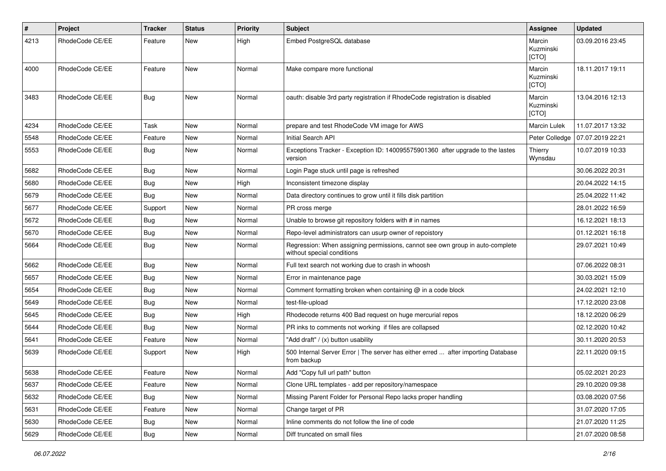| #    | Project         | <b>Tracker</b> | <b>Status</b> | <b>Priority</b> | <b>Subject</b>                                                                                              | Assignee                     | <b>Updated</b>   |
|------|-----------------|----------------|---------------|-----------------|-------------------------------------------------------------------------------------------------------------|------------------------------|------------------|
| 4213 | RhodeCode CE/EE | Feature        | New           | High            | Embed PostgreSQL database                                                                                   | Marcin<br>Kuzminski<br>[CTO] | 03.09.2016 23:45 |
| 4000 | RhodeCode CE/EE | Feature        | <b>New</b>    | Normal          | Make compare more functional                                                                                | Marcin<br>Kuzminski<br>[CTO] | 18.11.2017 19:11 |
| 3483 | RhodeCode CE/EE | <b>Bug</b>     | New           | Normal          | oauth: disable 3rd party registration if RhodeCode registration is disabled                                 | Marcin<br>Kuzminski<br>[CTO] | 13.04.2016 12:13 |
| 4234 | RhodeCode CE/EE | Task           | <b>New</b>    | Normal          | prepare and test RhodeCode VM image for AWS                                                                 | <b>Marcin Lulek</b>          | 11.07.2017 13:32 |
| 5548 | RhodeCode CE/EE | Feature        | New           | Normal          | Initial Search API                                                                                          | Peter Colledge               | 07.07.2019 22:21 |
| 5553 | RhodeCode CE/EE | Bug            | New           | Normal          | Exceptions Tracker - Exception ID: 140095575901360 after upgrade to the lastes<br>version                   | Thierry<br>Wynsdau           | 10.07.2019 10:33 |
| 5682 | RhodeCode CE/EE | Bug            | New           | Normal          | Login Page stuck until page is refreshed                                                                    |                              | 30.06.2022 20:31 |
| 5680 | RhodeCode CE/EE | Bug            | New           | High            | Inconsistent timezone display                                                                               |                              | 20.04.2022 14:15 |
| 5679 | RhodeCode CE/EE | Bug            | New           | Normal          | Data directory continues to grow until it fills disk partition                                              |                              | 25.04.2022 11:42 |
| 5677 | RhodeCode CE/EE | Support        | <b>New</b>    | Normal          | PR cross merge                                                                                              |                              | 28.01.2022 16:59 |
| 5672 | RhodeCode CE/EE | Bug            | <b>New</b>    | Normal          | Unable to browse git repository folders with # in names                                                     |                              | 16.12.2021 18:13 |
| 5670 | RhodeCode CE/EE | Bug            | New           | Normal          | Repo-level administrators can usurp owner of repoistory                                                     |                              | 01.12.2021 16:18 |
| 5664 | RhodeCode CE/EE | Bug            | New           | Normal          | Regression: When assigning permissions, cannot see own group in auto-complete<br>without special conditions |                              | 29.07.2021 10:49 |
| 5662 | RhodeCode CE/EE | Bug            | New           | Normal          | Full text search not working due to crash in whoosh                                                         |                              | 07.06.2022 08:31 |
| 5657 | RhodeCode CE/EE | Bug            | New           | Normal          | Error in maintenance page                                                                                   |                              | 30.03.2021 15:09 |
| 5654 | RhodeCode CE/EE | Bug            | New           | Normal          | Comment formatting broken when containing $@$ in a code block                                               |                              | 24.02.2021 12:10 |
| 5649 | RhodeCode CE/EE | Bug            | <b>New</b>    | Normal          | test-file-upload                                                                                            |                              | 17.12.2020 23:08 |
| 5645 | RhodeCode CE/EE | Bug            | <b>New</b>    | High            | Rhodecode returns 400 Bad request on huge mercurial repos                                                   |                              | 18.12.2020 06:29 |
| 5644 | RhodeCode CE/EE | Bug            | New           | Normal          | PR inks to comments not working if files are collapsed                                                      |                              | 02.12.2020 10:42 |
| 5641 | RhodeCode CE/EE | Feature        | New           | Normal          | "Add draft" / (x) button usability                                                                          |                              | 30.11.2020 20:53 |
| 5639 | RhodeCode CE/EE | Support        | New           | High            | 500 Internal Server Error   The server has either erred  after importing Database<br>from backup            |                              | 22.11.2020 09:15 |
| 5638 | RhodeCode CE/EE | Feature        | New           | Normal          | Add "Copy full url path" button                                                                             |                              | 05.02.2021 20:23 |
| 5637 | RhodeCode CE/EE | Feature        | New           | Normal          | Clone URL templates - add per repository/namespace                                                          |                              | 29.10.2020 09:38 |
| 5632 | RhodeCode CE/EE | Bug            | New           | Normal          | Missing Parent Folder for Personal Repo lacks proper handling                                               |                              | 03.08.2020 07:56 |
| 5631 | RhodeCode CE/EE | Feature        | New           | Normal          | Change target of PR                                                                                         |                              | 31.07.2020 17:05 |
| 5630 | RhodeCode CE/EE | <b>Bug</b>     | New           | Normal          | Inline comments do not follow the line of code                                                              |                              | 21.07.2020 11:25 |
| 5629 | RhodeCode CE/EE | Bug            | New           | Normal          | Diff truncated on small files                                                                               |                              | 21.07.2020 08:58 |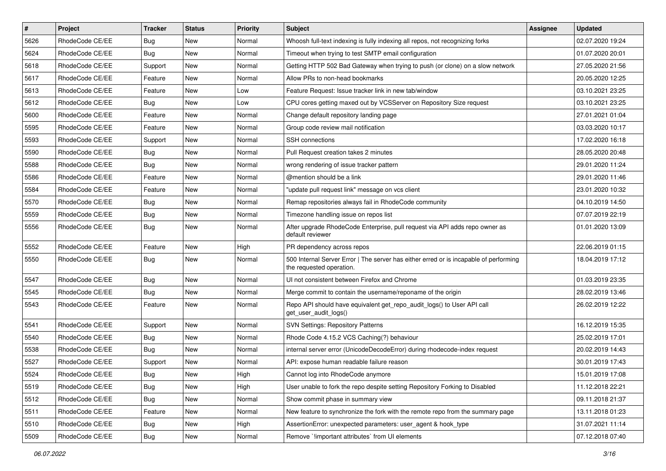| $\sharp$ | Project         | <b>Tracker</b> | <b>Status</b> | Priority | <b>Subject</b>                                                                                                    | <b>Assignee</b> | <b>Updated</b>   |
|----------|-----------------|----------------|---------------|----------|-------------------------------------------------------------------------------------------------------------------|-----------------|------------------|
| 5626     | RhodeCode CE/EE | Bug            | New           | Normal   | Whoosh full-text indexing is fully indexing all repos, not recognizing forks                                      |                 | 02.07.2020 19:24 |
| 5624     | RhodeCode CE/EE | Bug            | <b>New</b>    | Normal   | Timeout when trying to test SMTP email configuration                                                              |                 | 01.07.2020 20:01 |
| 5618     | RhodeCode CE/EE | Support        | New           | Normal   | Getting HTTP 502 Bad Gateway when trying to push (or clone) on a slow network                                     |                 | 27.05.2020 21:56 |
| 5617     | RhodeCode CE/EE | Feature        | <b>New</b>    | Normal   | Allow PRs to non-head bookmarks                                                                                   |                 | 20.05.2020 12:25 |
| 5613     | RhodeCode CE/EE | Feature        | <b>New</b>    | Low      | Feature Request: Issue tracker link in new tab/window                                                             |                 | 03.10.2021 23:25 |
| 5612     | RhodeCode CE/EE | Bug            | New           | Low      | CPU cores getting maxed out by VCSServer on Repository Size request                                               |                 | 03.10.2021 23:25 |
| 5600     | RhodeCode CE/EE | Feature        | New           | Normal   | Change default repository landing page                                                                            |                 | 27.01.2021 01:04 |
| 5595     | RhodeCode CE/EE | Feature        | New           | Normal   | Group code review mail notification                                                                               |                 | 03.03.2020 10:17 |
| 5593     | RhodeCode CE/EE | Support        | New           | Normal   | <b>SSH</b> connections                                                                                            |                 | 17.02.2020 16:18 |
| 5590     | RhodeCode CE/EE | Bug            | <b>New</b>    | Normal   | Pull Request creation takes 2 minutes                                                                             |                 | 28.05.2020 20:48 |
| 5588     | RhodeCode CE/EE | Bug            | New           | Normal   | wrong rendering of issue tracker pattern                                                                          |                 | 29.01.2020 11:24 |
| 5586     | RhodeCode CE/EE | Feature        | New           | Normal   | @mention should be a link                                                                                         |                 | 29.01.2020 11:46 |
| 5584     | RhodeCode CE/EE | Feature        | <b>New</b>    | Normal   | "update pull request link" message on vcs client                                                                  |                 | 23.01.2020 10:32 |
| 5570     | RhodeCode CE/EE | Bug            | New           | Normal   | Remap repositories always fail in RhodeCode community                                                             |                 | 04.10.2019 14:50 |
| 5559     | RhodeCode CE/EE | Bug            | <b>New</b>    | Normal   | Timezone handling issue on repos list                                                                             |                 | 07.07.2019 22:19 |
| 5556     | RhodeCode CE/EE | <b>Bug</b>     | New           | Normal   | After upgrade RhodeCode Enterprise, pull request via API adds repo owner as<br>default reviewer                   |                 | 01.01.2020 13:09 |
| 5552     | RhodeCode CE/EE | Feature        | <b>New</b>    | High     | PR dependency across repos                                                                                        |                 | 22.06.2019 01:15 |
| 5550     | RhodeCode CE/EE | Bug            | New           | Normal   | 500 Internal Server Error   The server has either erred or is incapable of performing<br>the requested operation. |                 | 18.04.2019 17:12 |
| 5547     | RhodeCode CE/EE | Bug            | <b>New</b>    | Normal   | UI not consistent between Firefox and Chrome                                                                      |                 | 01.03.2019 23:35 |
| 5545     | RhodeCode CE/EE | Bug            | New           | Normal   | Merge commit to contain the username/reponame of the origin                                                       |                 | 28.02.2019 13:46 |
| 5543     | RhodeCode CE/EE | Feature        | <b>New</b>    | Normal   | Repo API should have equivalent get_repo_audit_logs() to User API call<br>get_user_audit_logs()                   |                 | 26.02.2019 12:22 |
| 5541     | RhodeCode CE/EE | Support        | <b>New</b>    | Normal   | SVN Settings: Repository Patterns                                                                                 |                 | 16.12.2019 15:35 |
| 5540     | RhodeCode CE/EE | Bug            | New           | Normal   | Rhode Code 4.15.2 VCS Caching(?) behaviour                                                                        |                 | 25.02.2019 17:01 |
| 5538     | RhodeCode CE/EE | <b>Bug</b>     | New           | Normal   | internal server error (UnicodeDecodeError) during rhodecode-index request                                         |                 | 20.02.2019 14:43 |
| 5527     | RhodeCode CE/EE | Support        | New           | Normal   | API: expose human readable failure reason                                                                         |                 | 30.01.2019 17:43 |
| 5524     | RhodeCode CE/EE | Bug            | New           | High     | Cannot log into RhodeCode anymore                                                                                 |                 | 15.01.2019 17:08 |
| 5519     | RhodeCode CE/EE | Bug            | New           | High     | User unable to fork the repo despite setting Repository Forking to Disabled                                       |                 | 11.12.2018 22:21 |
| 5512     | RhodeCode CE/EE | Bug            | New           | Normal   | Show commit phase in summary view                                                                                 |                 | 09.11.2018 21:37 |
| 5511     | RhodeCode CE/EE | Feature        | New           | Normal   | New feature to synchronize the fork with the remote repo from the summary page                                    |                 | 13.11.2018 01:23 |
| 5510     | RhodeCode CE/EE | Bug            | New           | High     | AssertionError: unexpected parameters: user agent & hook type                                                     |                 | 31.07.2021 11:14 |
| 5509     | RhodeCode CE/EE | Bug            | New           | Normal   | Remove `!important attributes` from UI elements                                                                   |                 | 07.12.2018 07:40 |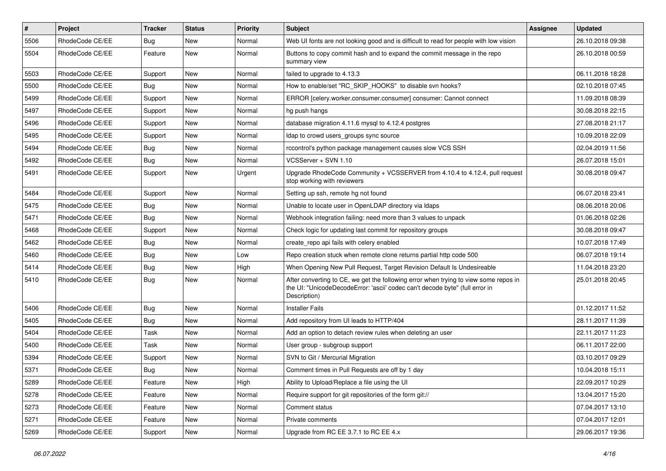| $\vert$ # | Project         | Tracker    | <b>Status</b> | <b>Priority</b> | Subject                                                                                                                                                                              | <b>Assignee</b> | <b>Updated</b>   |
|-----------|-----------------|------------|---------------|-----------------|--------------------------------------------------------------------------------------------------------------------------------------------------------------------------------------|-----------------|------------------|
| 5506      | RhodeCode CE/EE | <b>Bug</b> | New           | Normal          | Web UI fonts are not looking good and is difficult to read for people with low vision                                                                                                |                 | 26.10.2018 09:38 |
| 5504      | RhodeCode CE/EE | Feature    | <b>New</b>    | Normal          | Buttons to copy commit hash and to expand the commit message in the repo<br>summary view                                                                                             |                 | 26.10.2018 00:59 |
| 5503      | RhodeCode CE/EE | Support    | <b>New</b>    | Normal          | failed to upgrade to 4.13.3                                                                                                                                                          |                 | 06.11.2018 18:28 |
| 5500      | RhodeCode CE/EE | Bug        | New           | Normal          | How to enable/set "RC_SKIP_HOOKS" to disable svn hooks?                                                                                                                              |                 | 02.10.2018 07:45 |
| 5499      | RhodeCode CE/EE | Support    | New           | Normal          | ERROR [celery.worker.consumer.consumer] consumer: Cannot connect                                                                                                                     |                 | 11.09.2018 08:39 |
| 5497      | RhodeCode CE/EE | Support    | New           | Normal          | hg push hangs                                                                                                                                                                        |                 | 30.08.2018 22:15 |
| 5496      | RhodeCode CE/EE | Support    | New           | Normal          | database migration 4.11.6 mysql to 4.12.4 postgres                                                                                                                                   |                 | 27.08.2018 21:17 |
| 5495      | RhodeCode CE/EE | Support    | New           | Normal          | Idap to crowd users_groups sync source                                                                                                                                               |                 | 10.09.2018 22:09 |
| 5494      | RhodeCode CE/EE | <b>Bug</b> | New           | Normal          | rccontrol's python package management causes slow VCS SSH                                                                                                                            |                 | 02.04.2019 11:56 |
| 5492      | RhodeCode CE/EE | Bug        | New           | Normal          | VCSServer + SVN 1.10                                                                                                                                                                 |                 | 26.07.2018 15:01 |
| 5491      | RhodeCode CE/EE | Support    | New           | Urgent          | Upgrade RhodeCode Community + VCSSERVER from 4.10.4 to 4.12.4, pull request<br>stop working with reviewers                                                                           |                 | 30.08.2018 09:47 |
| 5484      | RhodeCode CE/EE | Support    | New           | Normal          | Setting up ssh, remote hg not found                                                                                                                                                  |                 | 06.07.2018 23:41 |
| 5475      | RhodeCode CE/EE | <b>Bug</b> | New           | Normal          | Unable to locate user in OpenLDAP directory via Idaps                                                                                                                                |                 | 08.06.2018 20:06 |
| 5471      | RhodeCode CE/EE | Bug        | New           | Normal          | Webhook integration failing: need more than 3 values to unpack                                                                                                                       |                 | 01.06.2018 02:26 |
| 5468      | RhodeCode CE/EE | Support    | New           | Normal          | Check logic for updating last commit for repository groups                                                                                                                           |                 | 30.08.2018 09:47 |
| 5462      | RhodeCode CE/EE | Bug        | New           | Normal          | create_repo api fails with celery enabled                                                                                                                                            |                 | 10.07.2018 17:49 |
| 5460      | RhodeCode CE/EE | <b>Bug</b> | New           | Low             | Repo creation stuck when remote clone returns partial http code 500                                                                                                                  |                 | 06.07.2018 19:14 |
| 5414      | RhodeCode CE/EE | <b>Bug</b> | New           | High            | When Opening New Pull Request, Target Revision Default Is Undesireable                                                                                                               |                 | 11.04.2018 23:20 |
| 5410      | RhodeCode CE/EE | <b>Bug</b> | New           | Normal          | After converting to CE, we get the following error when trying to view some repos in<br>the UI: "UnicodeDecodeError: 'ascii' codec can't decode byte" (full error in<br>Description) |                 | 25.01.2018 20:45 |
| 5406      | RhodeCode CE/EE | <b>Bug</b> | New           | Normal          | <b>Installer Fails</b>                                                                                                                                                               |                 | 01.12.2017 11:52 |
| 5405      | RhodeCode CE/EE | <b>Bug</b> | New           | Normal          | Add repository from UI leads to HTTP/404                                                                                                                                             |                 | 28.11.2017 11:39 |
| 5404      | RhodeCode CE/EE | Task       | New           | Normal          | Add an option to detach review rules when deleting an user                                                                                                                           |                 | 22.11.2017 11:23 |
| 5400      | RhodeCode CE/EE | Task       | New           | Normal          | User group - subgroup support                                                                                                                                                        |                 | 06.11.2017 22:00 |
| 5394      | RhodeCode CE/EE | Support    | New           | Normal          | SVN to Git / Mercurial Migration                                                                                                                                                     |                 | 03.10.2017 09:29 |
| 5371      | RhodeCode CE/EE | <b>Bug</b> | New           | Normal          | Comment times in Pull Requests are off by 1 day                                                                                                                                      |                 | 10.04.2018 15:11 |
| 5289      | RhodeCode CE/EE | Feature    | New           | High            | Ability to Upload/Replace a file using the UI                                                                                                                                        |                 | 22.09.2017 10:29 |
| 5278      | RhodeCode CE/EE | Feature    | New           | Normal          | Require support for git repositories of the form git://                                                                                                                              |                 | 13.04.2017 15:20 |
| 5273      | RhodeCode CE/EE | Feature    | New           | Normal          | Comment status                                                                                                                                                                       |                 | 07.04.2017 13:10 |
| 5271      | RhodeCode CE/EE | Feature    | New           | Normal          | Private comments                                                                                                                                                                     |                 | 07.04.2017 12:01 |
| 5269      | RhodeCode CE/EE | Support    | New           | Normal          | Upgrade from RC EE 3.7.1 to RC EE 4.x                                                                                                                                                |                 | 29.06.2017 19:36 |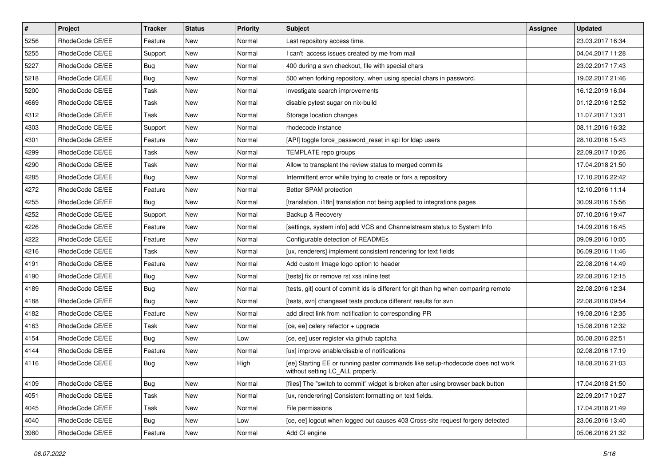| $\pmb{\#}$ | Project         | <b>Tracker</b> | <b>Status</b> | <b>Priority</b> | Subject                                                                                                            | Assignee | <b>Updated</b>   |
|------------|-----------------|----------------|---------------|-----------------|--------------------------------------------------------------------------------------------------------------------|----------|------------------|
| 5256       | RhodeCode CE/EE | Feature        | New           | Normal          | Last repository access time.                                                                                       |          | 23.03.2017 16:34 |
| 5255       | RhodeCode CE/EE | Support        | New           | Normal          | I can't access issues created by me from mail                                                                      |          | 04.04.2017 11:28 |
| 5227       | RhodeCode CE/EE | Bug            | New           | Normal          | 400 during a svn checkout, file with special chars                                                                 |          | 23.02.2017 17:43 |
| 5218       | RhodeCode CE/EE | Bug            | New           | Normal          | 500 when forking repository, when using special chars in password.                                                 |          | 19.02.2017 21:46 |
| 5200       | RhodeCode CE/EE | Task           | <b>New</b>    | Normal          | investigate search improvements                                                                                    |          | 16.12.2019 16:04 |
| 4669       | RhodeCode CE/EE | Task           | New           | Normal          | disable pytest sugar on nix-build                                                                                  |          | 01.12.2016 12:52 |
| 4312       | RhodeCode CE/EE | Task           | <b>New</b>    | Normal          | Storage location changes                                                                                           |          | 11.07.2017 13:31 |
| 4303       | RhodeCode CE/EE | Support        | New           | Normal          | rhodecode instance                                                                                                 |          | 08.11.2016 16:32 |
| 4301       | RhodeCode CE/EE | Feature        | New           | Normal          | [API] toggle force_password_reset in api for Idap users                                                            |          | 28.10.2016 15:43 |
| 4299       | RhodeCode CE/EE | Task           | <b>New</b>    | Normal          | TEMPLATE repo groups                                                                                               |          | 22.09.2017 10:26 |
| 4290       | RhodeCode CE/EE | Task           | New           | Normal          | Allow to transplant the review status to merged commits                                                            |          | 17.04.2018 21:50 |
| 4285       | RhodeCode CE/EE | Bug            | New           | Normal          | Intermittent error while trying to create or fork a repository                                                     |          | 17.10.2016 22:42 |
| 4272       | RhodeCode CE/EE | Feature        | New           | Normal          | Better SPAM protection                                                                                             |          | 12.10.2016 11:14 |
| 4255       | RhodeCode CE/EE | Bug            | New           | Normal          | [translation, i18n] translation not being applied to integrations pages                                            |          | 30.09.2016 15:56 |
| 4252       | RhodeCode CE/EE | Support        | <b>New</b>    | Normal          | Backup & Recovery                                                                                                  |          | 07.10.2016 19:47 |
| 4226       | RhodeCode CE/EE | Feature        | New           | Normal          | [settings, system info] add VCS and Channelstream status to System Info                                            |          | 14.09.2016 16:45 |
| 4222       | RhodeCode CE/EE | Feature        | New           | Normal          | Configurable detection of READMEs                                                                                  |          | 09.09.2016 10:05 |
| 4216       | RhodeCode CE/EE | Task           | <b>New</b>    | Normal          | [ux, renderers] implement consistent rendering for text fields                                                     |          | 06.09.2016 11:46 |
| 4191       | RhodeCode CE/EE | Feature        | New           | Normal          | Add custom Image logo option to header                                                                             |          | 22.08.2016 14:49 |
| 4190       | RhodeCode CE/EE | <b>Bug</b>     | New           | Normal          | [tests] fix or remove rst xss inline test                                                                          |          | 22.08.2016 12:15 |
| 4189       | RhodeCode CE/EE | Bug            | New           | Normal          | [tests, git] count of commit ids is different for git than hg when comparing remote                                |          | 22.08.2016 12:34 |
| 4188       | RhodeCode CE/EE | <b>Bug</b>     | New           | Normal          | [tests, svn] changeset tests produce different results for svn                                                     |          | 22.08.2016 09:54 |
| 4182       | RhodeCode CE/EE | Feature        | <b>New</b>    | Normal          | add direct link from notification to corresponding PR                                                              |          | 19.08.2016 12:35 |
| 4163       | RhodeCode CE/EE | Task           | New           | Normal          | [ce, ee] celery refactor + upgrade                                                                                 |          | 15.08.2016 12:32 |
| 4154       | RhodeCode CE/EE | Bug            | <b>New</b>    | Low             | [ce, ee] user register via github captcha                                                                          |          | 05.08.2016 22:51 |
| 4144       | RhodeCode CE/EE | Feature        | New           | Normal          | [ux] improve enable/disable of notifications                                                                       |          | 02.08.2016 17:19 |
| 4116       | RhodeCode CE/EE | Bug            | New           | High            | [ee] Starting EE or running paster commands like setup-rhodecode does not work<br>without setting LC_ALL properly. |          | 18.08.2016 21:03 |
| 4109       | RhodeCode CE/EE | <b>Bug</b>     | New           | Normal          | [files] The "switch to commit" widget is broken after using browser back button                                    |          | 17.04.2018 21:50 |
| 4051       | RhodeCode CE/EE | Task           | New           | Normal          | [ux, renderering] Consistent formatting on text fields.                                                            |          | 22.09.2017 10:27 |
| 4045       | RhodeCode CE/EE | Task           | New           | Normal          | File permissions                                                                                                   |          | 17.04.2018 21:49 |
| 4040       | RhodeCode CE/EE | Bug            | New           | Low             | [ce, ee] logout when logged out causes 403 Cross-site request forgery detected                                     |          | 23.06.2016 13:40 |
| 3980       | RhodeCode CE/EE | Feature        | New           | Normal          | Add CI engine                                                                                                      |          | 05.06.2016 21:32 |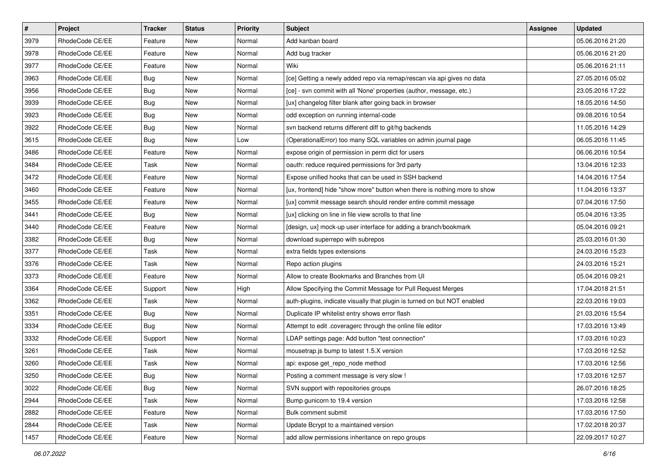| $\vert$ # | Project         | Tracker    | <b>Status</b> | <b>Priority</b> | <b>Subject</b>                                                            | <b>Assignee</b> | <b>Updated</b>   |
|-----------|-----------------|------------|---------------|-----------------|---------------------------------------------------------------------------|-----------------|------------------|
| 3979      | RhodeCode CE/EE | Feature    | New           | Normal          | Add kanban board                                                          |                 | 05.06.2016 21:20 |
| 3978      | RhodeCode CE/EE | Feature    | New           | Normal          | Add bug tracker                                                           |                 | 05.06.2016 21:20 |
| 3977      | RhodeCode CE/EE | Feature    | New           | Normal          | Wiki                                                                      |                 | 05.06.2016 21:11 |
| 3963      | RhodeCode CE/EE | <b>Bug</b> | New           | Normal          | [ce] Getting a newly added repo via remap/rescan via api gives no data    |                 | 27.05.2016 05:02 |
| 3956      | RhodeCode CE/EE | <b>Bug</b> | New           | Normal          | [ce] - svn commit with all 'None' properties (author, message, etc.)      |                 | 23.05.2016 17:22 |
| 3939      | RhodeCode CE/EE | <b>Bug</b> | New           | Normal          | [ux] changelog filter blank after going back in browser                   |                 | 18.05.2016 14:50 |
| 3923      | RhodeCode CE/EE | Bug        | New           | Normal          | odd exception on running internal-code                                    |                 | 09.08.2016 10:54 |
| 3922      | RhodeCode CE/EE | <b>Bug</b> | New           | Normal          | svn backend returns different diff to git/hg backends                     |                 | 11.05.2016 14:29 |
| 3615      | RhodeCode CE/EE | <b>Bug</b> | New           | Low             | (OperationalError) too many SQL variables on admin journal page           |                 | 06.05.2016 11:45 |
| 3486      | RhodeCode CE/EE | Feature    | New           | Normal          | expose origin of permission in perm dict for users                        |                 | 06.06.2016 10:54 |
| 3484      | RhodeCode CE/EE | Task       | New           | Normal          | oauth: reduce required permissions for 3rd party                          |                 | 13.04.2016 12:33 |
| 3472      | RhodeCode CE/EE | Feature    | New           | Normal          | Expose unified hooks that can be used in SSH backend                      |                 | 14.04.2016 17:54 |
| 3460      | RhodeCode CE/EE | Feature    | New           | Normal          | [ux, frontend] hide "show more" button when there is nothing more to show |                 | 11.04.2016 13:37 |
| 3455      | RhodeCode CE/EE | Feature    | New           | Normal          | [ux] commit message search should render entire commit message            |                 | 07.04.2016 17:50 |
| 3441      | RhodeCode CE/EE | <b>Bug</b> | New           | Normal          | [ux] clicking on line in file view scrolls to that line                   |                 | 05.04.2016 13:35 |
| 3440      | RhodeCode CE/EE | Feature    | New           | Normal          | [design, ux] mock-up user interface for adding a branch/bookmark          |                 | 05.04.2016 09:21 |
| 3382      | RhodeCode CE/EE | Bug        | New           | Normal          | download superrepo with subrepos                                          |                 | 25.03.2016 01:30 |
| 3377      | RhodeCode CE/EE | Task       | New           | Normal          | extra fields types extensions                                             |                 | 24.03.2016 15:23 |
| 3376      | RhodeCode CE/EE | Task       | New           | Normal          | Repo action plugins                                                       |                 | 24.03.2016 15:21 |
| 3373      | RhodeCode CE/EE | Feature    | New           | Normal          | Allow to create Bookmarks and Branches from UI                            |                 | 05.04.2016 09:21 |
| 3364      | RhodeCode CE/EE | Support    | New           | High            | Allow Specifying the Commit Message for Pull Request Merges               |                 | 17.04.2018 21:51 |
| 3362      | RhodeCode CE/EE | Task       | New           | Normal          | auth-plugins, indicate visually that plugin is turned on but NOT enabled  |                 | 22.03.2016 19:03 |
| 3351      | RhodeCode CE/EE | Bug        | New           | Normal          | Duplicate IP whitelist entry shows error flash                            |                 | 21.03.2016 15:54 |
| 3334      | RhodeCode CE/EE | Bug        | New           | Normal          | Attempt to edit .coveragerc through the online file editor                |                 | 17.03.2016 13:49 |
| 3332      | RhodeCode CE/EE | Support    | New           | Normal          | LDAP settings page: Add button "test connection"                          |                 | 17.03.2016 10:23 |
| 3261      | RhodeCode CE/EE | Task       | New           | Normal          | mousetrap.js bump to latest 1.5.X version                                 |                 | 17.03.2016 12:52 |
| 3260      | RhodeCode CE/EE | Task       | New           | Normal          | api: expose get_repo_node method                                          |                 | 17.03.2016 12:56 |
| 3250      | RhodeCode CE/EE | Bug        | New           | Normal          | Posting a comment message is very slow !                                  |                 | 17.03.2016 12:57 |
| 3022      | RhodeCode CE/EE | Bug        | New           | Normal          | SVN support with repositories groups                                      |                 | 26.07.2016 18:25 |
| 2944      | RhodeCode CE/EE | Task       | New           | Normal          | Bump gunicorn to 19.4 version                                             |                 | 17.03.2016 12:58 |
| 2882      | RhodeCode CE/EE | Feature    | New           | Normal          | Bulk comment submit                                                       |                 | 17.03.2016 17:50 |
| 2844      | RhodeCode CE/EE | Task       | New           | Normal          | Update Bcrypt to a maintained version                                     |                 | 17.02.2018 20:37 |
| 1457      | RhodeCode CE/EE | Feature    | New           | Normal          | add allow permissions inheritance on repo groups                          |                 | 22.09.2017 10:27 |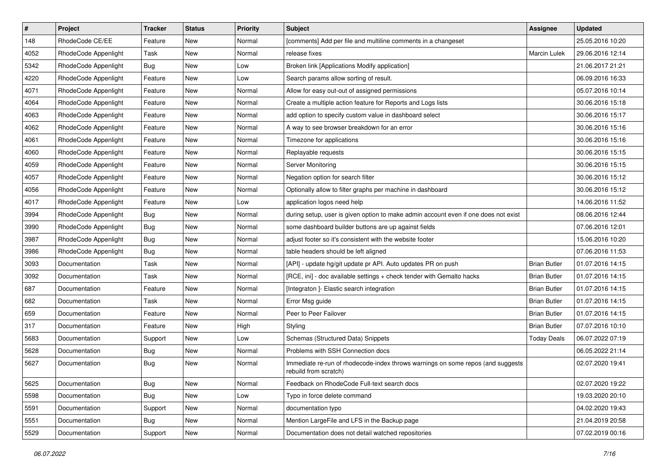| $\vert$ # | Project              | <b>Tracker</b> | <b>Status</b> | Priority | <b>Subject</b>                                                                                           | <b>Assignee</b>     | <b>Updated</b>   |
|-----------|----------------------|----------------|---------------|----------|----------------------------------------------------------------------------------------------------------|---------------------|------------------|
| 148       | RhodeCode CE/EE      | Feature        | New           | Normal   | [comments] Add per file and multiline comments in a changeset                                            |                     | 25.05.2016 10:20 |
| 4052      | RhodeCode Appenlight | Task           | New           | Normal   | release fixes                                                                                            | <b>Marcin Lulek</b> | 29.06.2016 12:14 |
| 5342      | RhodeCode Appenlight | Bug            | New           | Low      | Broken link [Applications Modify application]                                                            |                     | 21.06.2017 21:21 |
| 4220      | RhodeCode Appenlight | Feature        | New           | Low      | Search params allow sorting of result.                                                                   |                     | 06.09.2016 16:33 |
| 4071      | RhodeCode Appenlight | Feature        | New           | Normal   | Allow for easy out-out of assigned permissions                                                           |                     | 05.07.2016 10:14 |
| 4064      | RhodeCode Appenlight | Feature        | New           | Normal   | Create a multiple action feature for Reports and Logs lists                                              |                     | 30.06.2016 15:18 |
| 4063      | RhodeCode Appenlight | Feature        | New           | Normal   | add option to specify custom value in dashboard select                                                   |                     | 30.06.2016 15:17 |
| 4062      | RhodeCode Appenlight | Feature        | New           | Normal   | A way to see browser breakdown for an error                                                              |                     | 30.06.2016 15:16 |
| 4061      | RhodeCode Appenlight | Feature        | New           | Normal   | Timezone for applications                                                                                |                     | 30.06.2016 15:16 |
| 4060      | RhodeCode Appenlight | Feature        | New           | Normal   | Replayable requests                                                                                      |                     | 30.06.2016 15:15 |
| 4059      | RhodeCode Appenlight | Feature        | New           | Normal   | Server Monitoring                                                                                        |                     | 30.06.2016 15:15 |
| 4057      | RhodeCode Appenlight | Feature        | New           | Normal   | Negation option for search filter                                                                        |                     | 30.06.2016 15:12 |
| 4056      | RhodeCode Appenlight | Feature        | New           | Normal   | Optionally allow to filter graphs per machine in dashboard                                               |                     | 30.06.2016 15:12 |
| 4017      | RhodeCode Appenlight | Feature        | New           | Low      | application logos need help                                                                              |                     | 14.06.2016 11:52 |
| 3994      | RhodeCode Appenlight | <b>Bug</b>     | New           | Normal   | during setup, user is given option to make admin account even if one does not exist                      |                     | 08.06.2016 12:44 |
| 3990      | RhodeCode Appenlight | Bug            | New           | Normal   | some dashboard builder buttons are up against fields                                                     |                     | 07.06.2016 12:01 |
| 3987      | RhodeCode Appenlight | <b>Bug</b>     | New           | Normal   | adjust footer so it's consistent with the website footer                                                 |                     | 15.06.2016 10:20 |
| 3986      | RhodeCode Appenlight | <b>Bug</b>     | New           | Normal   | table headers should be left aligned                                                                     |                     | 07.06.2016 11:53 |
| 3093      | Documentation        | Task           | New           | Normal   | [API] - update hg/git update pr API. Auto updates PR on push                                             | <b>Brian Butler</b> | 01.07.2016 14:15 |
| 3092      | Documentation        | Task           | New           | Normal   | [RCE, ini] - doc available settings + check tender with Gemalto hacks                                    | <b>Brian Butler</b> | 01.07.2016 14:15 |
| 687       | Documentation        | Feature        | New           | Normal   | [Integraton] - Elastic search integration                                                                | <b>Brian Butler</b> | 01.07.2016 14:15 |
| 682       | Documentation        | Task           | New           | Normal   | Error Msg guide                                                                                          | <b>Brian Butler</b> | 01.07.2016 14:15 |
| 659       | Documentation        | Feature        | New           | Normal   | Peer to Peer Failover                                                                                    | <b>Brian Butler</b> | 01.07.2016 14:15 |
| 317       | Documentation        | Feature        | New           | High     | Styling                                                                                                  | <b>Brian Butler</b> | 07.07.2016 10:10 |
| 5683      | Documentation        | Support        | New           | Low      | Schemas (Structured Data) Snippets                                                                       | <b>Today Deals</b>  | 06.07.2022 07:19 |
| 5628      | Documentation        | <b>Bug</b>     | New           | Normal   | Problems with SSH Connection docs                                                                        |                     | 06.05.2022 21:14 |
| 5627      | Documentation        | <b>Bug</b>     | New           | Normal   | Immediate re-run of rhodecode-index throws warnings on some repos (and suggests<br>rebuild from scratch) |                     | 02.07.2020 19:41 |
| 5625      | Documentation        | <b>Bug</b>     | New           | Normal   | Feedback on RhodeCode Full-text search docs                                                              |                     | 02.07.2020 19:22 |
| 5598      | Documentation        | Bug            | New           | Low      | Typo in force delete command                                                                             |                     | 19.03.2020 20:10 |
| 5591      | Documentation        | Support        | New           | Normal   | documentation typo                                                                                       |                     | 04.02.2020 19:43 |
| 5551      | Documentation        | <b>Bug</b>     | New           | Normal   | Mention LargeFile and LFS in the Backup page                                                             |                     | 21.04.2019 20:58 |
| 5529      | Documentation        | Support        | New           | Normal   | Documentation does not detail watched repositories                                                       |                     | 07.02.2019 00:16 |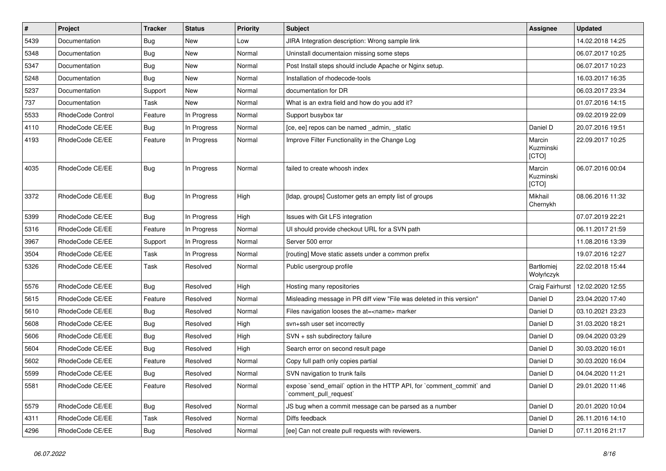| $\pmb{\#}$ | Project           | <b>Tracker</b> | <b>Status</b> | <b>Priority</b> | Subject                                                                                        | <b>Assignee</b>              | <b>Updated</b>   |
|------------|-------------------|----------------|---------------|-----------------|------------------------------------------------------------------------------------------------|------------------------------|------------------|
| 5439       | Documentation     | <b>Bug</b>     | New           | Low             | JIRA Integration description: Wrong sample link                                                |                              | 14.02.2018 14:25 |
| 5348       | Documentation     | Bug            | <b>New</b>    | Normal          | Uninstall documentaion missing some steps                                                      |                              | 06.07.2017 10:25 |
| 5347       | Documentation     | Bug            | New           | Normal          | Post Install steps should include Apache or Nginx setup.                                       |                              | 06.07.2017 10:23 |
| 5248       | Documentation     | Bug            | New           | Normal          | Installation of rhodecode-tools                                                                |                              | 16.03.2017 16:35 |
| 5237       | Documentation     | Support        | <b>New</b>    | Normal          | documentation for DR                                                                           |                              | 06.03.2017 23:34 |
| 737        | Documentation     | Task           | <b>New</b>    | Normal          | What is an extra field and how do you add it?                                                  |                              | 01.07.2016 14:15 |
| 5533       | RhodeCode Control | Feature        | In Progress   | Normal          | Support busybox tar                                                                            |                              | 09.02.2019 22:09 |
| 4110       | RhodeCode CE/EE   | Bug            | In Progress   | Normal          | [ce, ee] repos can be named _admin, _static                                                    | Daniel D                     | 20.07.2016 19:51 |
| 4193       | RhodeCode CE/EE   | Feature        | In Progress   | Normal          | Improve Filter Functionality in the Change Log                                                 | Marcin<br>Kuzminski<br>[CTO] | 22.09.2017 10:25 |
| 4035       | RhodeCode CE/EE   | Bug            | In Progress   | Normal          | failed to create whoosh index                                                                  | Marcin<br>Kuzminski<br>[CTO] | 06.07.2016 00:04 |
| 3372       | RhodeCode CE/EE   | Bug            | In Progress   | High            | [Idap, groups] Customer gets an empty list of groups                                           | Mikhail<br>Chernykh          | 08.06.2016 11:32 |
| 5399       | RhodeCode CE/EE   | Bug            | In Progress   | High            | Issues with Git LFS integration                                                                |                              | 07.07.2019 22:21 |
| 5316       | RhodeCode CE/EE   | Feature        | In Progress   | Normal          | UI should provide checkout URL for a SVN path                                                  |                              | 06.11.2017 21:59 |
| 3967       | RhodeCode CE/EE   | Support        | In Progress   | Normal          | Server 500 error                                                                               |                              | 11.08.2016 13:39 |
| 3504       | RhodeCode CE/EE   | Task           | In Progress   | Normal          | [routing] Move static assets under a common prefix                                             |                              | 19.07.2016 12:27 |
| 5326       | RhodeCode CE/EE   | Task           | Resolved      | Normal          | Public usergroup profile                                                                       | Bartłomiej<br>Wołyńczyk      | 22.02.2018 15:44 |
| 5576       | RhodeCode CE/EE   | Bug            | Resolved      | High            | Hosting many repositories                                                                      | Craig Fairhurst              | 12.02.2020 12:55 |
| 5615       | RhodeCode CE/EE   | Feature        | Resolved      | Normal          | Misleading message in PR diff view "File was deleted in this version"                          | Daniel D                     | 23.04.2020 17:40 |
| 5610       | RhodeCode CE/EE   | Bug            | Resolved      | Normal          | Files navigation looses the at= <name> marker</name>                                           | Daniel D                     | 03.10.2021 23:23 |
| 5608       | RhodeCode CE/EE   | Bug            | Resolved      | High            | svn+ssh user set incorrectly                                                                   | Daniel D                     | 31.03.2020 18:21 |
| 5606       | RhodeCode CE/EE   | Bug            | Resolved      | High            | SVN + ssh subdirectory failure                                                                 | Daniel D                     | 09.04.2020 03:29 |
| 5604       | RhodeCode CE/EE   | Bug            | Resolved      | High            | Search error on second result page                                                             | Daniel D                     | 30.03.2020 16:01 |
| 5602       | RhodeCode CE/EE   | Feature        | Resolved      | Normal          | Copy full path only copies partial                                                             | Daniel D                     | 30.03.2020 16:04 |
| 5599       | RhodeCode CE/EE   | Bug            | Resolved      | Normal          | SVN navigation to trunk fails                                                                  | Daniel D                     | 04.04.2020 11:21 |
| 5581       | RhodeCode CE/EE   | Feature        | Resolved      | Normal          | expose `send_email` option in the HTTP API, for `comment_commit` and<br>`comment_pull_request` | Daniel D                     | 29.01.2020 11:46 |
| 5579       | RhodeCode CE/EE   | Bug            | Resolved      | Normal          | JS bug when a commit message can be parsed as a number                                         | Daniel D                     | 20.01.2020 10:04 |
| 4311       | RhodeCode CE/EE   | Task           | Resolved      | Normal          | Diffs feedback                                                                                 | Daniel D                     | 26.11.2016 14:10 |
| 4296       | RhodeCode CE/EE   | Bug            | Resolved      | Normal          | [ee] Can not create pull requests with reviewers.                                              | Daniel D                     | 07.11.2016 21:17 |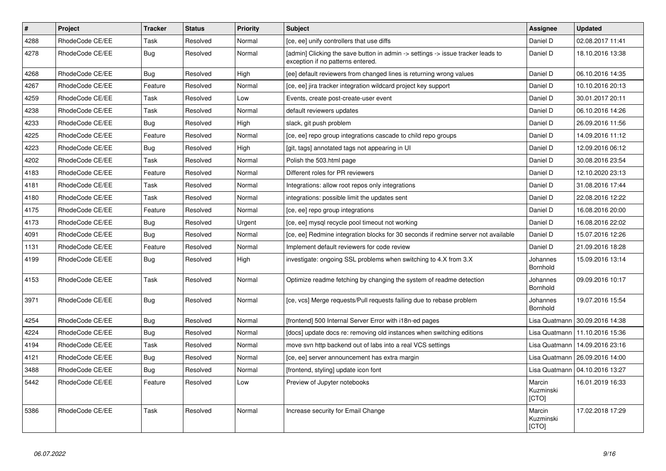| $\vert$ # | Project         | <b>Tracker</b> | <b>Status</b> | Priority | <b>Subject</b>                                                                                                       | <b>Assignee</b>              | <b>Updated</b>                   |
|-----------|-----------------|----------------|---------------|----------|----------------------------------------------------------------------------------------------------------------------|------------------------------|----------------------------------|
| 4288      | RhodeCode CE/EE | Task           | Resolved      | Normal   | [ce, ee] unify controllers that use diffs                                                                            | Daniel D                     | 02.08.2017 11:41                 |
| 4278      | RhodeCode CE/EE | Bug            | Resolved      | Normal   | [admin] Clicking the save button in admin -> settings -> issue tracker leads to<br>exception if no patterns entered. | Daniel D                     | 18.10.2016 13:38                 |
| 4268      | RhodeCode CE/EE | Bug            | Resolved      | High     | [ee] default reviewers from changed lines is returning wrong values                                                  | Daniel D                     | 06.10.2016 14:35                 |
| 4267      | RhodeCode CE/EE | Feature        | Resolved      | Normal   | [ce, ee] jira tracker integration wildcard project key support                                                       | Daniel D                     | 10.10.2016 20:13                 |
| 4259      | RhodeCode CE/EE | Task           | Resolved      | Low      | Events, create post-create-user event                                                                                | Daniel D                     | 30.01.2017 20:11                 |
| 4238      | RhodeCode CE/EE | Task           | Resolved      | Normal   | default reviewers updates                                                                                            | Daniel D                     | 06.10.2016 14:26                 |
| 4233      | RhodeCode CE/EE | Bug            | Resolved      | High     | slack, git push problem                                                                                              | Daniel D                     | 26.09.2016 11:56                 |
| 4225      | RhodeCode CE/EE | Feature        | Resolved      | Normal   | [ce, ee] repo group integrations cascade to child repo groups                                                        | Daniel D                     | 14.09.2016 11:12                 |
| 4223      | RhodeCode CE/EE | Bug            | Resolved      | High     | [git, tags] annotated tags not appearing in UI                                                                       | Daniel D                     | 12.09.2016 06:12                 |
| 4202      | RhodeCode CE/EE | Task           | Resolved      | Normal   | Polish the 503.html page                                                                                             | Daniel D                     | 30.08.2016 23:54                 |
| 4183      | RhodeCode CE/EE | Feature        | Resolved      | Normal   | Different roles for PR reviewers                                                                                     | Daniel D                     | 12.10.2020 23:13                 |
| 4181      | RhodeCode CE/EE | Task           | Resolved      | Normal   | Integrations: allow root repos only integrations                                                                     | Daniel D                     | 31.08.2016 17:44                 |
| 4180      | RhodeCode CE/EE | Task           | Resolved      | Normal   | integrations: possible limit the updates sent                                                                        | Daniel D                     | 22.08.2016 12:22                 |
| 4175      | RhodeCode CE/EE | Feature        | Resolved      | Normal   | [ce, ee] repo group integrations                                                                                     | Daniel D                     | 16.08.2016 20:00                 |
| 4173      | RhodeCode CE/EE | <b>Bug</b>     | Resolved      | Urgent   | [ce, ee] mysql recycle pool timeout not working                                                                      | Daniel D                     | 16.08.2016 22:02                 |
| 4091      | RhodeCode CE/EE | Bug            | Resolved      | Normal   | [ce, ee] Redmine integration blocks for 30 seconds if redmine server not available                                   | Daniel D                     | 15.07.2016 12:26                 |
| 1131      | RhodeCode CE/EE | Feature        | Resolved      | Normal   | Implement default reviewers for code review                                                                          | Daniel D                     | 21.09.2016 18:28                 |
| 4199      | RhodeCode CE/EE | <b>Bug</b>     | Resolved      | High     | investigate: ongoing SSL problems when switching to 4.X from 3.X                                                     | Johannes<br>Bornhold         | 15.09.2016 13:14                 |
| 4153      | RhodeCode CE/EE | Task           | Resolved      | Normal   | Optimize readme fetching by changing the system of readme detection                                                  | Johannes<br>Bornhold         | 09.09.2016 10:17                 |
| 3971      | RhodeCode CE/EE | Bug            | Resolved      | Normal   | [ce, vcs] Merge requests/Pull requests failing due to rebase problem                                                 | Johannes<br>Bornhold         | 19.07.2016 15:54                 |
| 4254      | RhodeCode CE/EE | Bug            | Resolved      | Normal   | [frontend] 500 Internal Server Error with i18n-ed pages                                                              | Lisa Quatmann                | 30.09.2016 14:38                 |
| 4224      | RhodeCode CE/EE | Bug            | Resolved      | Normal   | [docs] update docs re: removing old instances when switching editions                                                |                              | Lisa Quatmann   11.10.2016 15:36 |
| 4194      | RhodeCode CE/EE | Task           | Resolved      | Normal   | move svn http backend out of labs into a real VCS settings                                                           | Lisa Quatmann                | 14.09.2016 23:16                 |
| 4121      | RhodeCode CE/EE | Bug            | Resolved      | Normal   | [ce, ee] server announcement has extra margin                                                                        | Lisa Quatmann                | 26.09.2016 14:00                 |
| 3488      | RhodeCode CE/EE | Bug            | Resolved      | Normal   | [frontend, styling] update icon font                                                                                 | Lisa Quatmann                | 04.10.2016 13:27                 |
| 5442      | RhodeCode CE/EE | Feature        | Resolved      | Low      | Preview of Jupyter notebooks                                                                                         | Marcin<br>Kuzminski<br>[CTO] | 16.01.2019 16:33                 |
| 5386      | RhodeCode CE/EE | Task           | Resolved      | Normal   | Increase security for Email Change                                                                                   | Marcin<br>Kuzminski<br>[CTO] | 17.02.2018 17:29                 |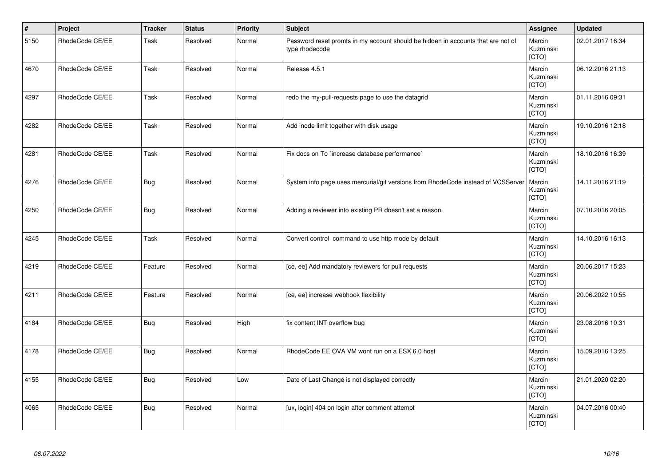| $\vert$ # | Project         | <b>Tracker</b> | <b>Status</b> | <b>Priority</b> | Subject                                                                                            | Assignee                     | <b>Updated</b>   |
|-----------|-----------------|----------------|---------------|-----------------|----------------------------------------------------------------------------------------------------|------------------------------|------------------|
| 5150      | RhodeCode CE/EE | Task           | Resolved      | Normal          | Password reset promts in my account should be hidden in accounts that are not of<br>type rhodecode | Marcin<br>Kuzminski<br>[CTO] | 02.01.2017 16:34 |
| 4670      | RhodeCode CE/EE | Task           | Resolved      | Normal          | Release 4.5.1                                                                                      | Marcin<br>Kuzminski<br>[CTO] | 06.12.2016 21:13 |
| 4297      | RhodeCode CE/EE | Task           | Resolved      | Normal          | redo the my-pull-requests page to use the datagrid                                                 | Marcin<br>Kuzminski<br>[CTO] | 01.11.2016 09:31 |
| 4282      | RhodeCode CE/EE | Task           | Resolved      | Normal          | Add inode limit together with disk usage                                                           | Marcin<br>Kuzminski<br>[CTO] | 19.10.2016 12:18 |
| 4281      | RhodeCode CE/EE | Task           | Resolved      | Normal          | Fix docs on To `increase database performance`                                                     | Marcin<br>Kuzminski<br>[CTO] | 18.10.2016 16:39 |
| 4276      | RhodeCode CE/EE | <b>Bug</b>     | Resolved      | Normal          | System info page uses mercurial/git versions from RhodeCode instead of VCSServer                   | Marcin<br>Kuzminski<br>[CTO] | 14.11.2016 21:19 |
| 4250      | RhodeCode CE/EE | <b>Bug</b>     | Resolved      | Normal          | Adding a reviewer into existing PR doesn't set a reason.                                           | Marcin<br>Kuzminski<br>[CTO] | 07.10.2016 20:05 |
| 4245      | RhodeCode CE/EE | Task           | Resolved      | Normal          | Convert control command to use http mode by default                                                | Marcin<br>Kuzminski<br>[CTO] | 14.10.2016 16:13 |
| 4219      | RhodeCode CE/EE | Feature        | Resolved      | Normal          | [ce, ee] Add mandatory reviewers for pull requests                                                 | Marcin<br>Kuzminski<br>[CTO] | 20.06.2017 15:23 |
| 4211      | RhodeCode CE/EE | Feature        | Resolved      | Normal          | [ce, ee] increase webhook flexibility                                                              | Marcin<br>Kuzminski<br>[CTO] | 20.06.2022 10:55 |
| 4184      | RhodeCode CE/EE | Bug            | Resolved      | High            | fix content INT overflow bug                                                                       | Marcin<br>Kuzminski<br>[CTO] | 23.08.2016 10:31 |
| 4178      | RhodeCode CE/EE | <b>Bug</b>     | Resolved      | Normal          | RhodeCode EE OVA VM wont run on a ESX 6.0 host                                                     | Marcin<br>Kuzminski<br>[CTO] | 15.09.2016 13:25 |
| 4155      | RhodeCode CE/EE | <b>Bug</b>     | Resolved      | Low             | Date of Last Change is not displayed correctly                                                     | Marcin<br>Kuzminski<br>[CTO] | 21.01.2020 02:20 |
| 4065      | RhodeCode CE/EE | <b>Bug</b>     | Resolved      | Normal          | [ux, login] 404 on login after comment attempt                                                     | Marcin<br>Kuzminski<br>[CTO] | 04.07.2016 00:40 |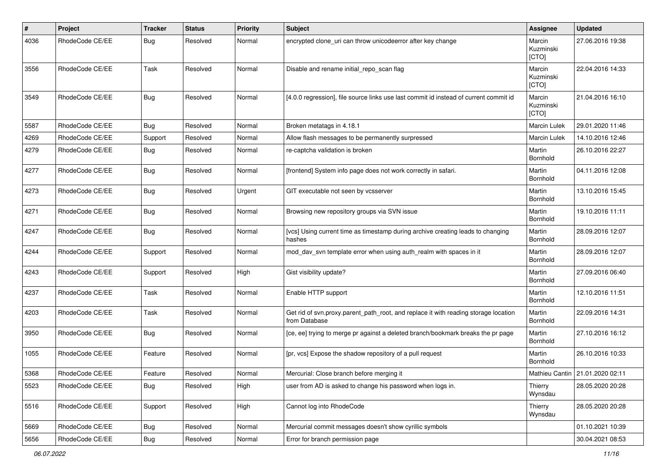| #    | Project         | <b>Tracker</b> | <b>Status</b> | <b>Priority</b> | Subject                                                                                              | <b>Assignee</b>              | <b>Updated</b>                    |
|------|-----------------|----------------|---------------|-----------------|------------------------------------------------------------------------------------------------------|------------------------------|-----------------------------------|
| 4036 | RhodeCode CE/EE | Bug            | Resolved      | Normal          | encrypted clone uri can throw unicodeerror after key change                                          | Marcin<br>Kuzminski<br>[CTO] | 27.06.2016 19:38                  |
| 3556 | RhodeCode CE/EE | Task           | Resolved      | Normal          | Disable and rename initial repo scan flag                                                            | Marcin<br>Kuzminski<br>[CTO] | 22.04.2016 14:33                  |
| 3549 | RhodeCode CE/EE | Bug            | Resolved      | Normal          | [4.0.0 regression], file source links use last commit id instead of current commit id                | Marcin<br>Kuzminski<br>[CTO] | 21.04.2016 16:10                  |
| 5587 | RhodeCode CE/EE | Bug            | Resolved      | Normal          | Broken metatags in 4.18.1                                                                            | <b>Marcin Lulek</b>          | 29.01.2020 11:46                  |
| 4269 | RhodeCode CE/EE | Support        | Resolved      | Normal          | Allow flash messages to be permanently surpressed                                                    | Marcin Lulek                 | 14.10.2016 12:46                  |
| 4279 | RhodeCode CE/EE | Bug            | Resolved      | Normal          | re-captcha validation is broken                                                                      | Martin<br>Bornhold           | 26.10.2016 22:27                  |
| 4277 | RhodeCode CE/EE | Bug            | Resolved      | Normal          | [frontend] System info page does not work correctly in safari.                                       | Martin<br>Bornhold           | 04.11.2016 12:08                  |
| 4273 | RhodeCode CE/EE | Bug            | Resolved      | Urgent          | GIT executable not seen by vcsserver                                                                 | Martin<br>Bornhold           | 13.10.2016 15:45                  |
| 4271 | RhodeCode CE/EE | Bug            | Resolved      | Normal          | Browsing new repository groups via SVN issue                                                         | Martin<br>Bornhold           | 19.10.2016 11:11                  |
| 4247 | RhodeCode CE/EE | Bug            | Resolved      | Normal          | [vcs] Using current time as timestamp during archive creating leads to changing<br>hashes            | Martin<br>Bornhold           | 28.09.2016 12:07                  |
| 4244 | RhodeCode CE/EE | Support        | Resolved      | Normal          | mod_dav_svn template error when using auth_realm with spaces in it                                   | Martin<br>Bornhold           | 28.09.2016 12:07                  |
| 4243 | RhodeCode CE/EE | Support        | Resolved      | High            | Gist visibility update?                                                                              | Martin<br>Bornhold           | 27.09.2016 06:40                  |
| 4237 | RhodeCode CE/EE | Task           | Resolved      | Normal          | Enable HTTP support                                                                                  | Martin<br>Bornhold           | 12.10.2016 11:51                  |
| 4203 | RhodeCode CE/EE | Task           | Resolved      | Normal          | Get rid of svn.proxy.parent_path_root, and replace it with reading storage location<br>from Database | Martin<br>Bornhold           | 22.09.2016 14:31                  |
| 3950 | RhodeCode CE/EE | Bug            | Resolved      | Normal          | [ce, ee] trying to merge pr against a deleted branch/bookmark breaks the pr page                     | Martin<br>Bornhold           | 27.10.2016 16:12                  |
| 1055 | RhodeCode CE/EE | Feature        | Resolved      | Normal          | [pr, vcs] Expose the shadow repository of a pull request                                             | Martin<br>Bornhold           | 26.10.2016 10:33                  |
| 5368 | RhodeCode CE/EE | Feature        | Resolved      | Normal          | Mercurial: Close branch before merging it                                                            |                              | Mathieu Cantin   21.01.2020 02:11 |
| 5523 | RhodeCode CE/EE | Bug            | Resolved      | High            | user from AD is asked to change his password when logs in.                                           | Thierry<br>Wynsdau           | 28.05.2020 20:28                  |
| 5516 | RhodeCode CE/EE | Support        | Resolved      | High            | Cannot log into RhodeCode                                                                            | Thierry<br>Wynsdau           | 28.05.2020 20:28                  |
| 5669 | RhodeCode CE/EE | <b>Bug</b>     | Resolved      | Normal          | Mercurial commit messages doesn't show cyrillic symbols                                              |                              | 01.10.2021 10:39                  |
| 5656 | RhodeCode CE/EE | Bug            | Resolved      | Normal          | Error for branch permission page                                                                     |                              | 30.04.2021 08:53                  |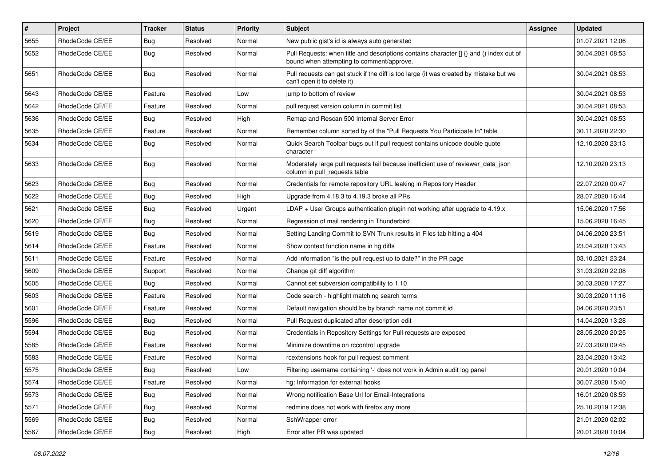| $\pmb{\#}$ | <b>Project</b>  | <b>Tracker</b> | <b>Status</b> | <b>Priority</b> | <b>Subject</b>                                                                                                                       | Assignee | <b>Updated</b>   |
|------------|-----------------|----------------|---------------|-----------------|--------------------------------------------------------------------------------------------------------------------------------------|----------|------------------|
| 5655       | RhodeCode CE/EE | <b>Bug</b>     | Resolved      | Normal          | New public gist's id is always auto generated                                                                                        |          | 01.07.2021 12:06 |
| 5652       | RhodeCode CE/EE | Bug            | Resolved      | Normal          | Pull Requests: when title and descriptions contains character [] {} and () index out of<br>bound when attempting to comment/approve. |          | 30.04.2021 08:53 |
| 5651       | RhodeCode CE/EE | Bug            | Resolved      | Normal          | Pull requests can get stuck if the diff is too large (it was created by mistake but we<br>can't open it to delete it)                |          | 30.04.2021 08:53 |
| 5643       | RhodeCode CE/EE | Feature        | Resolved      | Low             | jump to bottom of review                                                                                                             |          | 30.04.2021 08:53 |
| 5642       | RhodeCode CE/EE | Feature        | Resolved      | Normal          | pull request version column in commit list                                                                                           |          | 30.04.2021 08:53 |
| 5636       | RhodeCode CE/EE | Bug            | Resolved      | High            | Remap and Rescan 500 Internal Server Error                                                                                           |          | 30.04.2021 08:53 |
| 5635       | RhodeCode CE/EE | Feature        | Resolved      | Normal          | Remember column sorted by of the "Pull Requests You Participate In" table                                                            |          | 30.11.2020 22:30 |
| 5634       | RhodeCode CE/EE | Bug            | Resolved      | Normal          | Quick Search Toolbar bugs out if pull request contains unicode double quote<br>character "                                           |          | 12.10.2020 23:13 |
| 5633       | RhodeCode CE/EE | Bug            | Resolved      | Normal          | Moderately large pull requests fail because inefficient use of reviewer_data_json<br>column in pull requests table                   |          | 12.10.2020 23:13 |
| 5623       | RhodeCode CE/EE | Bug            | Resolved      | Normal          | Credentials for remote repository URL leaking in Repository Header                                                                   |          | 22.07.2020 00:47 |
| 5622       | RhodeCode CE/EE | Bug            | Resolved      | High            | Upgrade from 4.18.3 to 4.19.3 broke all PRs                                                                                          |          | 28.07.2020 16:44 |
| 5621       | RhodeCode CE/EE | <b>Bug</b>     | Resolved      | Urgent          | LDAP + User Groups authentication plugin not working after upgrade to 4.19.x                                                         |          | 15.06.2020 17:56 |
| 5620       | RhodeCode CE/EE | <b>Bug</b>     | Resolved      | Normal          | Regression of mail rendering in Thunderbird                                                                                          |          | 15.06.2020 16:45 |
| 5619       | RhodeCode CE/EE | Bug            | Resolved      | Normal          | Setting Landing Commit to SVN Trunk results in Files tab hitting a 404                                                               |          | 04.06.2020 23:51 |
| 5614       | RhodeCode CE/EE | Feature        | Resolved      | Normal          | Show context function name in hg diffs                                                                                               |          | 23.04.2020 13:43 |
| 5611       | RhodeCode CE/EE | Feature        | Resolved      | Normal          | Add information "is the pull request up to date?" in the PR page                                                                     |          | 03.10.2021 23:24 |
| 5609       | RhodeCode CE/EE | Support        | Resolved      | Normal          | Change git diff algorithm                                                                                                            |          | 31.03.2020 22:08 |
| 5605       | RhodeCode CE/EE | <b>Bug</b>     | Resolved      | Normal          | Cannot set subversion compatibility to 1.10                                                                                          |          | 30.03.2020 17:27 |
| 5603       | RhodeCode CE/EE | Feature        | Resolved      | Normal          | Code search - highlight matching search terms                                                                                        |          | 30.03.2020 11:16 |
| 5601       | RhodeCode CE/EE | Feature        | Resolved      | Normal          | Default navigation should be by branch name not commit id                                                                            |          | 04.06.2020 23:51 |
| 5596       | RhodeCode CE/EE | <b>Bug</b>     | Resolved      | Normal          | Pull Request duplicated after description edit                                                                                       |          | 14.04.2020 13:28 |
| 5594       | RhodeCode CE/EE | Bug            | Resolved      | Normal          | Credentials in Repository Settings for Pull requests are exposed                                                                     |          | 28.05.2020 20:25 |
| 5585       | RhodeCode CE/EE | Feature        | Resolved      | Normal          | Minimize downtime on rccontrol upgrade                                                                                               |          | 27.03.2020 09:45 |
| 5583       | RhodeCode CE/EE | Feature        | Resolved      | Normal          | rcextensions hook for pull request comment                                                                                           |          | 23.04.2020 13:42 |
| 5575       | RhodeCode CE/EE | <b>Bug</b>     | Resolved      | Low             | Filtering username containing '-' does not work in Admin audit log panel                                                             |          | 20.01.2020 10:04 |
| 5574       | RhodeCode CE/EE | Feature        | Resolved      | Normal          | hg: Information for external hooks                                                                                                   |          | 30.07.2020 15:40 |
| 5573       | RhodeCode CE/EE | Bug            | Resolved      | Normal          | Wrong notification Base Url for Email-Integrations                                                                                   |          | 16.01.2020 08:53 |
| 5571       | RhodeCode CE/EE | <b>Bug</b>     | Resolved      | Normal          | redmine does not work with firefox any more                                                                                          |          | 25.10.2019 12:38 |
| 5569       | RhodeCode CE/EE | <b>Bug</b>     | Resolved      | Normal          | SshWrapper error                                                                                                                     |          | 21.01.2020 02:02 |
| 5567       | RhodeCode CE/EE | Bug            | Resolved      | High            | Error after PR was updated                                                                                                           |          | 20.01.2020 10:04 |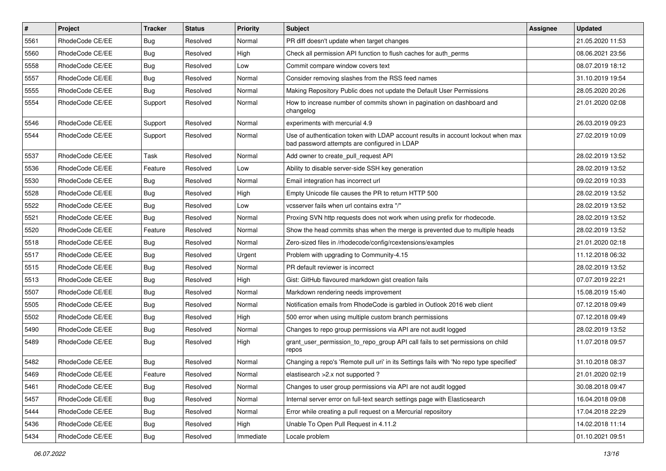| $\vert$ # | Project         | Tracker    | <b>Status</b> | <b>Priority</b> | <b>Subject</b>                                                                                                                    | <b>Assignee</b> | <b>Updated</b>   |
|-----------|-----------------|------------|---------------|-----------------|-----------------------------------------------------------------------------------------------------------------------------------|-----------------|------------------|
| 5561      | RhodeCode CE/EE | <b>Bug</b> | Resolved      | Normal          | PR diff doesn't update when target changes                                                                                        |                 | 21.05.2020 11:53 |
| 5560      | RhodeCode CE/EE | Bug        | Resolved      | High            | Check all permission API function to flush caches for auth perms                                                                  |                 | 08.06.2021 23:56 |
| 5558      | RhodeCode CE/EE | <b>Bug</b> | Resolved      | Low             | Commit compare window covers text                                                                                                 |                 | 08.07.2019 18:12 |
| 5557      | RhodeCode CE/EE | <b>Bug</b> | Resolved      | Normal          | Consider removing slashes from the RSS feed names                                                                                 |                 | 31.10.2019 19:54 |
| 5555      | RhodeCode CE/EE | Bug        | Resolved      | Normal          | Making Repository Public does not update the Default User Permissions                                                             |                 | 28.05.2020 20:26 |
| 5554      | RhodeCode CE/EE | Support    | Resolved      | Normal          | How to increase number of commits shown in pagination on dashboard and<br>changelog                                               |                 | 21.01.2020 02:08 |
| 5546      | RhodeCode CE/EE | Support    | Resolved      | Normal          | experiments with mercurial 4.9                                                                                                    |                 | 26.03.2019 09:23 |
| 5544      | RhodeCode CE/EE | Support    | Resolved      | Normal          | Use of authentication token with LDAP account results in account lockout when max<br>bad password attempts are configured in LDAP |                 | 27.02.2019 10:09 |
| 5537      | RhodeCode CE/EE | Task       | Resolved      | Normal          | Add owner to create pull request API                                                                                              |                 | 28.02.2019 13:52 |
| 5536      | RhodeCode CE/EE | Feature    | Resolved      | Low             | Ability to disable server-side SSH key generation                                                                                 |                 | 28.02.2019 13:52 |
| 5530      | RhodeCode CE/EE | Bug        | Resolved      | Normal          | Email integration has incorrect url                                                                                               |                 | 09.02.2019 10:33 |
| 5528      | RhodeCode CE/EE | <b>Bug</b> | Resolved      | High            | Empty Unicode file causes the PR to return HTTP 500                                                                               |                 | 28.02.2019 13:52 |
| 5522      | RhodeCode CE/EE | <b>Bug</b> | Resolved      | Low             | vcsserver fails when url contains extra "/"                                                                                       |                 | 28.02.2019 13:52 |
| 5521      | RhodeCode CE/EE | <b>Bug</b> | Resolved      | Normal          | Proxing SVN http requests does not work when using prefix for rhodecode.                                                          |                 | 28.02.2019 13:52 |
| 5520      | RhodeCode CE/EE | Feature    | Resolved      | Normal          | Show the head commits shas when the merge is prevented due to multiple heads                                                      |                 | 28.02.2019 13:52 |
| 5518      | RhodeCode CE/EE | <b>Bug</b> | Resolved      | Normal          | Zero-sized files in /rhodecode/config/rcextensions/examples                                                                       |                 | 21.01.2020 02:18 |
| 5517      | RhodeCode CE/EE | <b>Bug</b> | Resolved      | Urgent          | Problem with upgrading to Community-4.15                                                                                          |                 | 11.12.2018 06:32 |
| 5515      | RhodeCode CE/EE | <b>Bug</b> | Resolved      | Normal          | PR default reviewer is incorrect                                                                                                  |                 | 28.02.2019 13:52 |
| 5513      | RhodeCode CE/EE | Bug        | Resolved      | High            | Gist: GitHub flavoured markdown gist creation fails                                                                               |                 | 07.07.2019 22:21 |
| 5507      | RhodeCode CE/EE | <b>Bug</b> | Resolved      | Normal          | Markdown rendering needs improvement                                                                                              |                 | 15.08.2019 15:40 |
| 5505      | RhodeCode CE/EE | <b>Bug</b> | Resolved      | Normal          | Notification emails from RhodeCode is garbled in Outlook 2016 web client                                                          |                 | 07.12.2018 09:49 |
| 5502      | RhodeCode CE/EE | <b>Bug</b> | Resolved      | High            | 500 error when using multiple custom branch permissions                                                                           |                 | 07.12.2018 09:49 |
| 5490      | RhodeCode CE/EE | <b>Bug</b> | Resolved      | Normal          | Changes to repo group permissions via API are not audit logged                                                                    |                 | 28.02.2019 13:52 |
| 5489      | RhodeCode CE/EE | Bug        | Resolved      | High            | grant_user_permission_to_repo_group API call fails to set permissions on child<br>repos                                           |                 | 11.07.2018 09:57 |
| 5482      | RhodeCode CE/EE | Bug        | Resolved      | Normal          | Changing a repo's 'Remote pull uri' in its Settings fails with 'No repo type specified'                                           |                 | 31.10.2018 08:37 |
| 5469      | RhodeCode CE/EE | Feature    | Resolved      | Normal          | elastisearch > 2.x not supported?                                                                                                 |                 | 21.01.2020 02:19 |
| 5461      | RhodeCode CE/EE | Bug        | Resolved      | Normal          | Changes to user group permissions via API are not audit logged                                                                    |                 | 30.08.2018 09:47 |
| 5457      | RhodeCode CE/EE | Bug        | Resolved      | Normal          | Internal server error on full-text search settings page with Elasticsearch                                                        |                 | 16.04.2018 09:08 |
| 5444      | RhodeCode CE/EE | Bug        | Resolved      | Normal          | Error while creating a pull request on a Mercurial repository                                                                     |                 | 17.04.2018 22:29 |
| 5436      | RhodeCode CE/EE | Bug        | Resolved      | High            | Unable To Open Pull Request in 4.11.2                                                                                             |                 | 14.02.2018 11:14 |
| 5434      | RhodeCode CE/EE | <b>Bug</b> | Resolved      | Immediate       | Locale problem                                                                                                                    |                 | 01.10.2021 09:51 |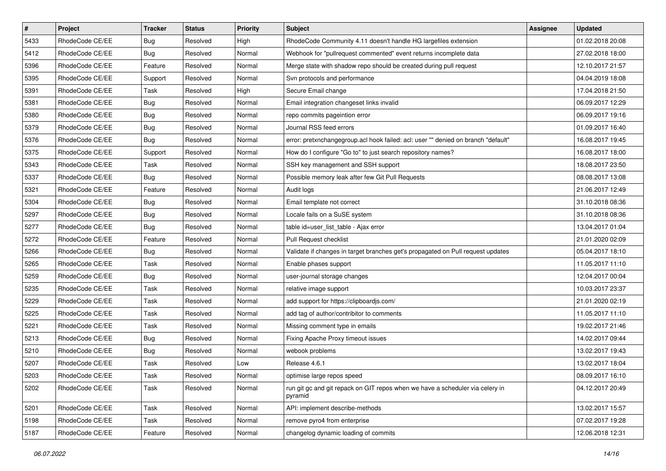| $\pmb{\#}$ | Project         | <b>Tracker</b> | <b>Status</b> | Priority | Subject                                                                                  | Assignee | <b>Updated</b>   |
|------------|-----------------|----------------|---------------|----------|------------------------------------------------------------------------------------------|----------|------------------|
| 5433       | RhodeCode CE/EE | <b>Bug</b>     | Resolved      | High     | RhodeCode Community 4.11 doesn't handle HG largefiles extension                          |          | 01.02.2018 20:08 |
| 5412       | RhodeCode CE/EE | Bug            | Resolved      | Normal   | Webhook for "pullrequest commented" event returns incomplete data                        |          | 27.02.2018 18:00 |
| 5396       | RhodeCode CE/EE | Feature        | Resolved      | Normal   | Merge state with shadow repo should be created during pull request                       |          | 12.10.2017 21:57 |
| 5395       | RhodeCode CE/EE | Support        | Resolved      | Normal   | Svn protocols and performance                                                            |          | 04.04.2019 18:08 |
| 5391       | RhodeCode CE/EE | Task           | Resolved      | High     | Secure Email change                                                                      |          | 17.04.2018 21:50 |
| 5381       | RhodeCode CE/EE | <b>Bug</b>     | Resolved      | Normal   | Email integration changeset links invalid                                                |          | 06.09.2017 12:29 |
| 5380       | RhodeCode CE/EE | Bug            | Resolved      | Normal   | repo commits pageintion error                                                            |          | 06.09.2017 19:16 |
| 5379       | RhodeCode CE/EE | Bug            | Resolved      | Normal   | Journal RSS feed errors                                                                  |          | 01.09.2017 16:40 |
| 5376       | RhodeCode CE/EE | <b>Bug</b>     | Resolved      | Normal   | error: pretxnchangegroup.acl hook failed: acl: user "" denied on branch "default"        |          | 16.08.2017 19:45 |
| 5375       | RhodeCode CE/EE | Support        | Resolved      | Normal   | How do I configure "Go to" to just search repository names?                              |          | 16.08.2017 18:00 |
| 5343       | RhodeCode CE/EE | Task           | Resolved      | Normal   | SSH key management and SSH support                                                       |          | 18.08.2017 23:50 |
| 5337       | RhodeCode CE/EE | Bug            | Resolved      | Normal   | Possible memory leak after few Git Pull Requests                                         |          | 08.08.2017 13:08 |
| 5321       | RhodeCode CE/EE | Feature        | Resolved      | Normal   | Audit logs                                                                               |          | 21.06.2017 12:49 |
| 5304       | RhodeCode CE/EE | <b>Bug</b>     | Resolved      | Normal   | Email template not correct                                                               |          | 31.10.2018 08:36 |
| 5297       | RhodeCode CE/EE | <b>Bug</b>     | Resolved      | Normal   | Locale fails on a SuSE system                                                            |          | 31.10.2018 08:36 |
| 5277       | RhodeCode CE/EE | Bug            | Resolved      | Normal   | table id=user_list_table - Ajax error                                                    |          | 13.04.2017 01:04 |
| 5272       | RhodeCode CE/EE | Feature        | Resolved      | Normal   | Pull Request checklist                                                                   |          | 21.01.2020 02:09 |
| 5266       | RhodeCode CE/EE | Bug            | Resolved      | Normal   | Validate if changes in target branches get's propagated on Pull request updates          |          | 05.04.2017 18:10 |
| 5265       | RhodeCode CE/EE | Task           | Resolved      | Normal   | Enable phases support                                                                    |          | 11.05.2017 11:10 |
| 5259       | RhodeCode CE/EE | Bug            | Resolved      | Normal   | user-journal storage changes                                                             |          | 12.04.2017 00:04 |
| 5235       | RhodeCode CE/EE | Task           | Resolved      | Normal   | relative image support                                                                   |          | 10.03.2017 23:37 |
| 5229       | RhodeCode CE/EE | Task           | Resolved      | Normal   | add support for https://clipboardjs.com/                                                 |          | 21.01.2020 02:19 |
| 5225       | RhodeCode CE/EE | Task           | Resolved      | Normal   | add tag of author/contribitor to comments                                                |          | 11.05.2017 11:10 |
| 5221       | RhodeCode CE/EE | Task           | Resolved      | Normal   | Missing comment type in emails                                                           |          | 19.02.2017 21:46 |
| 5213       | RhodeCode CE/EE | Bug            | Resolved      | Normal   | Fixing Apache Proxy timeout issues                                                       |          | 14.02.2017 09:44 |
| 5210       | RhodeCode CE/EE | Bug            | Resolved      | Normal   | webook problems                                                                          |          | 13.02.2017 19:43 |
| 5207       | RhodeCode CE/EE | Task           | Resolved      | Low      | Release 4.6.1                                                                            |          | 13.02.2017 18:04 |
| 5203       | RhodeCode CE/EE | Task           | Resolved      | Normal   | optimise large repos speed                                                               |          | 08.09.2017 16:10 |
| 5202       | RhodeCode CE/EE | Task           | Resolved      | Normal   | run git gc and git repack on GIT repos when we have a scheduler via celery in<br>pyramid |          | 04.12.2017 20:49 |
| 5201       | RhodeCode CE/EE | Task           | Resolved      | Normal   | API: implement describe-methods                                                          |          | 13.02.2017 15:57 |
| 5198       | RhodeCode CE/EE | Task           | Resolved      | Normal   | remove pyro4 from enterprise                                                             |          | 07.02.2017 19:28 |
| 5187       | RhodeCode CE/EE | Feature        | Resolved      | Normal   | changelog dynamic loading of commits                                                     |          | 12.06.2018 12:31 |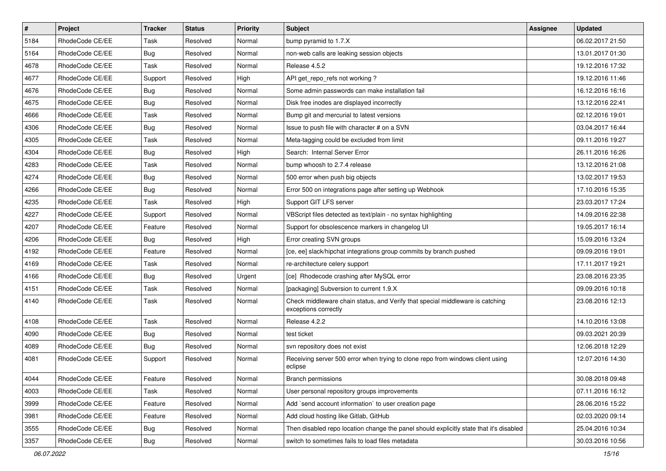| $\overline{\boldsymbol{H}}$ | Project         | <b>Tracker</b> | <b>Status</b> | <b>Priority</b> | Subject                                                                                               | <b>Assignee</b> | <b>Updated</b>   |
|-----------------------------|-----------------|----------------|---------------|-----------------|-------------------------------------------------------------------------------------------------------|-----------------|------------------|
| 5184                        | RhodeCode CE/EE | Task           | Resolved      | Normal          | bump pyramid to 1.7.X                                                                                 |                 | 06.02.2017 21:50 |
| 5164                        | RhodeCode CE/EE | Bug            | Resolved      | Normal          | non-web calls are leaking session objects                                                             |                 | 13.01.2017 01:30 |
| 4678                        | RhodeCode CE/EE | Task           | Resolved      | Normal          | Release 4.5.2                                                                                         |                 | 19.12.2016 17:32 |
| 4677                        | RhodeCode CE/EE | Support        | Resolved      | High            | API get_repo_refs not working?                                                                        |                 | 19.12.2016 11:46 |
| 4676                        | RhodeCode CE/EE | <b>Bug</b>     | Resolved      | Normal          | Some admin passwords can make installation fail                                                       |                 | 16.12.2016 16:16 |
| 4675                        | RhodeCode CE/EE | Bug            | Resolved      | Normal          | Disk free inodes are displayed incorrectly                                                            |                 | 13.12.2016 22:41 |
| 4666                        | RhodeCode CE/EE | Task           | Resolved      | Normal          | Bump git and mercurial to latest versions                                                             |                 | 02.12.2016 19:01 |
| 4306                        | RhodeCode CE/EE | Bug            | Resolved      | Normal          | Issue to push file with character # on a SVN                                                          |                 | 03.04.2017 16:44 |
| 4305                        | RhodeCode CE/EE | Task           | Resolved      | Normal          | Meta-tagging could be excluded from limit                                                             |                 | 09.11.2016 19:27 |
| 4304                        | RhodeCode CE/EE | <b>Bug</b>     | Resolved      | High            | Search: Internal Server Error                                                                         |                 | 26.11.2016 16:26 |
| 4283                        | RhodeCode CE/EE | Task           | Resolved      | Normal          | bump whoosh to 2.7.4 release                                                                          |                 | 13.12.2016 21:08 |
| 4274                        | RhodeCode CE/EE | Bug            | Resolved      | Normal          | 500 error when push big objects                                                                       |                 | 13.02.2017 19:53 |
| 4266                        | RhodeCode CE/EE | Bug            | Resolved      | Normal          | Error 500 on integrations page after setting up Webhook                                               |                 | 17.10.2016 15:35 |
| 4235                        | RhodeCode CE/EE | Task           | Resolved      | High            | Support GIT LFS server                                                                                |                 | 23.03.2017 17:24 |
| 4227                        | RhodeCode CE/EE | Support        | Resolved      | Normal          | VBScript files detected as text/plain - no syntax highlighting                                        |                 | 14.09.2016 22:38 |
| 4207                        | RhodeCode CE/EE | Feature        | Resolved      | Normal          | Support for obsolescence markers in changelog UI                                                      |                 | 19.05.2017 16:14 |
| 4206                        | RhodeCode CE/EE | Bug            | Resolved      | High            | Error creating SVN groups                                                                             |                 | 15.09.2016 13:24 |
| 4192                        | RhodeCode CE/EE | Feature        | Resolved      | Normal          | [ce, ee] slack/hipchat integrations group commits by branch pushed                                    |                 | 09.09.2016 19:01 |
| 4169                        | RhodeCode CE/EE | Task           | Resolved      | Normal          | re-architecture celery support                                                                        |                 | 17.11.2017 19:21 |
| 4166                        | RhodeCode CE/EE | Bug            | Resolved      | Urgent          | [ce] Rhodecode crashing after MySQL error                                                             |                 | 23.08.2016 23:35 |
| 4151                        | RhodeCode CE/EE | Task           | Resolved      | Normal          | [packaging] Subversion to current 1.9.X                                                               |                 | 09.09.2016 10:18 |
| 4140                        | RhodeCode CE/EE | Task           | Resolved      | Normal          | Check middleware chain status, and Verify that special middleware is catching<br>exceptions correctly |                 | 23.08.2016 12:13 |
| 4108                        | RhodeCode CE/EE | Task           | Resolved      | Normal          | Release 4.2.2                                                                                         |                 | 14.10.2016 13:08 |
| 4090                        | RhodeCode CE/EE | Bug            | Resolved      | Normal          | test ticket                                                                                           |                 | 09.03.2021 20:39 |
| 4089                        | RhodeCode CE/EE | Bug            | Resolved      | Normal          | svn repository does not exist                                                                         |                 | 12.06.2018 12:29 |
| 4081                        | RhodeCode CE/EE | Support        | Resolved      | Normal          | Receiving server 500 error when trying to clone repo from windows client using<br>eclipse             |                 | 12.07.2016 14:30 |
| 4044                        | RhodeCode CE/EE | Feature        | Resolved      | Normal          | Branch permissions                                                                                    |                 | 30.08.2018 09:48 |
| 4003                        | RhodeCode CE/EE | Task           | Resolved      | Normal          | User personal repository groups improvements                                                          |                 | 07.11.2016 16:12 |
| 3999                        | RhodeCode CE/EE | Feature        | Resolved      | Normal          | Add `send account information` to user creation page                                                  |                 | 28.06.2016 15:22 |
| 3981                        | RhodeCode CE/EE | Feature        | Resolved      | Normal          | Add cloud hosting like Gitlab, GitHub                                                                 |                 | 02.03.2020 09:14 |
| 3555                        | RhodeCode CE/EE | Bug            | Resolved      | Normal          | Then disabled repo location change the panel should explicitly state that it's disabled               |                 | 25.04.2016 10:34 |
| 3357                        | RhodeCode CE/EE | <b>Bug</b>     | Resolved      | Normal          | switch to sometimes fails to load files metadata                                                      |                 | 30.03.2016 10:56 |